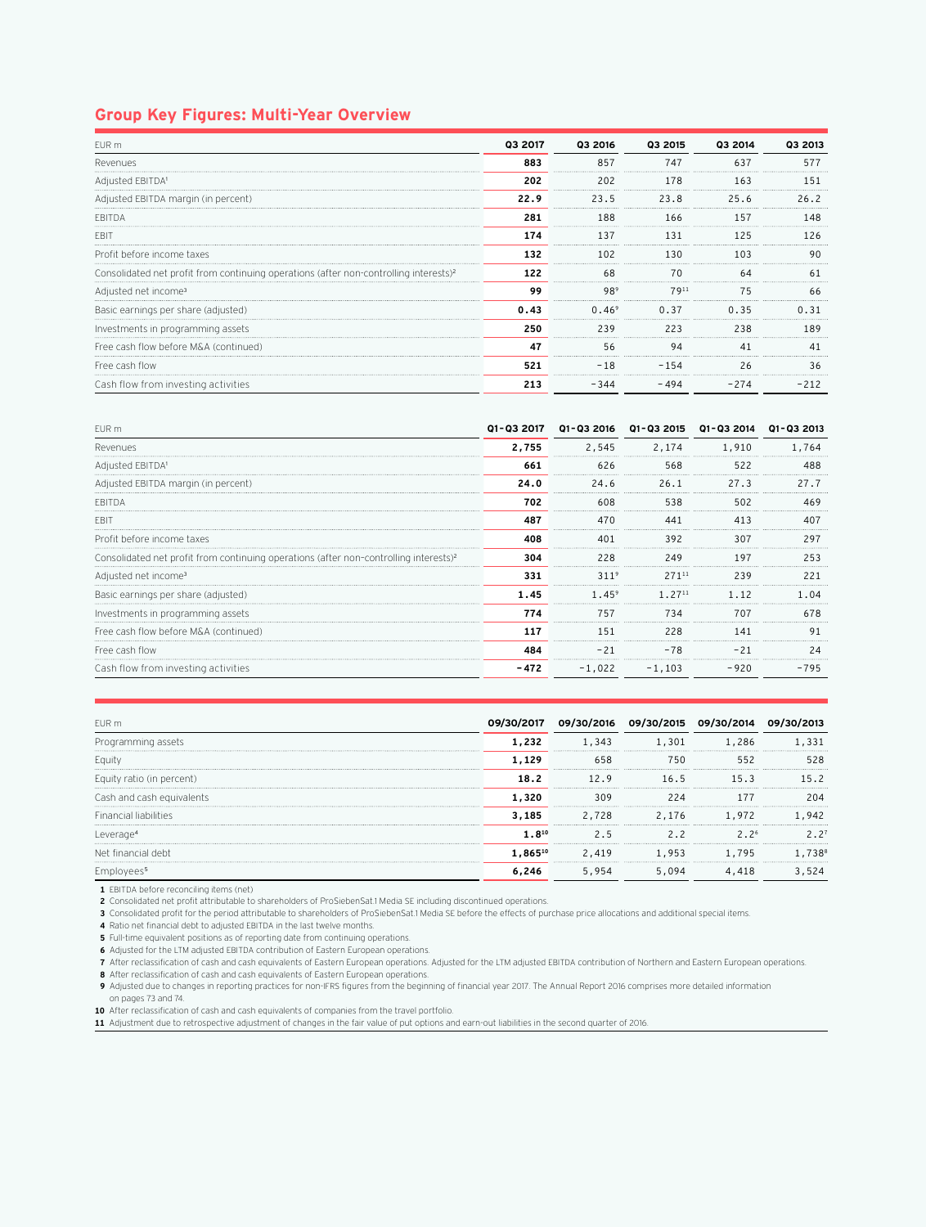## **Group Key Figures: Multi-Year Overview**

| FUR <sub>m</sub>                                                                                  | 03 2017 | Q3 2016         | Q3 2015 | 03 2014 | Q3 2013                        |
|---------------------------------------------------------------------------------------------------|---------|-----------------|---------|---------|--------------------------------|
| Revenues                                                                                          | 883     | 857             | 747     | 637     | 577<br>----------------------- |
| Adiusted EBITDAª                                                                                  | 202     | 202             | 178     | 163     | 151                            |
| Adjusted EBITDA margin (in percent)                                                               | 22.9    | 23.5            | 23.8    | 25.6    | 26.2                           |
| <b>FBITDA</b>                                                                                     | 281     | 188             | 166     | 157     | 148                            |
| EBI <sup>-</sup>                                                                                  | 174     | 137             | 131     | 25      |                                |
| Profit before income taxes                                                                        | 132     | 102             | 130     | 103     | ٩ſ<br>                         |
| Consolidated net profit from continuing operations (after non-controlling interests) <sup>2</sup> | 122     | 68              | 70      | 64      | 61                             |
| Adjusted net income <sup>3</sup>                                                                  | 99      | 98 <sup>s</sup> | 7911    | 75      | 66                             |
| Basic earnings per share (adjusted)                                                               | 0.43    | $0.46^{\circ}$  | 0.37    | 0.35    | 131                            |
| Investments in programming assets                                                                 | 250     | 239             | 223     | 238     |                                |
| Free cash flow before M&A (continued)                                                             | 47      | 56              | 94      |         |                                |
| Free cash flow                                                                                    | 521     | $-18$<br>       | $-154$  | 26      | <b>*****************</b>       |
| Cash flow from investing activities                                                               | 213     | $-344$          | $-494$  | $-274$  | $-212$                         |

| EUR m                                                                                             | 01-03 2017 | Q1-Q3 2016       | Q1-Q3 2015  | Q1-Q3 2014 | 01-03 2013               |
|---------------------------------------------------------------------------------------------------|------------|------------------|-------------|------------|--------------------------|
| Revenues                                                                                          | 2,755      | 2,545            | 2.174       | 1,910      | .764                     |
| Adjusted EBITDA'                                                                                  | 661        | 626              | 568<br>     | 522<br>.   |                          |
| Adjusted EBITDA margin (in percent)                                                               | 24.0       | 24.6             | 26.1        | 27.3       | 27.7                     |
| <b>FRITDA</b>                                                                                     | 702        | 608              | 538<br>     | 502        | 469                      |
| EBI1                                                                                              | 487        | 470              | 441         | 413        |                          |
| Profit before income taxes                                                                        | 408        | 401              | 392         | 307        | 29.                      |
| Consolidated net profit from continuing operations (after non-controlling interests) <sup>2</sup> | 304        | 228              | 249         | 197        | 253                      |
| Adjusted net income <sup>3</sup>                                                                  | 331        | 311 <sup>9</sup> | 27111       | 239        | <b>*****************</b> |
| Basic earnings per share (adjusted)                                                               | 1.45       | $1.45^{\circ}$   | $1.27^{11}$ | <br>1.12   | - 04                     |
| Investments in programming assets                                                                 | 774        | 757              | 734         | 707        | 678                      |
| Free cash flow before M&A (continued)                                                             | 117        | 151              | 228         | 141        |                          |
| Free cash flow                                                                                    | 484        | $-21$            | $-78$       |            |                          |
| Cash flow from investing activities                                                               | - 472      | $-1,022$         | $-1,103$    | $-920$     | -795                     |

| EUR m                        | <b>09/30/2017</b> | 09/30/2016 | 09/30/2015 | 09/30/           |      |
|------------------------------|-------------------|------------|------------|------------------|------|
| Programming assets           | 1,232             | L.343      | .301       | . . 286          |      |
| Eauity                       | 1.129             | 658        | 750        | 552              | 528  |
| Equity ratio (in percent)    | 18.2              | <br>12.9   | 16.5       | 15.3             | 15.2 |
| Cash and cash equivalents    | 1,320             | <br>309    | 224        |                  | 204  |
| <b>Financial liabilities</b> | 3,185             | 2,728      | 2.176      | 1,972            | 942  |
| Leverag                      | $1.8^{10}$        | 2.5        | 2.2        | 2.2 <sup>6</sup> |      |
| Net financial debt           | 1.86510           | 2,419      | 1,953      | 1,795            | 738  |
|                              |                   | 5.954      | .094       | .418             |      |

**1** EBITDA before reconciling items (net)

**2** Consolidated net profit attributable to shareholders of ProSiebenSat.1 Media SE including discontinued operations.

**3** Consolidated profit for the period attributable to shareholders of ProSiebenSat.1 Media SE before the effects of purchase price allocations and additional special items.

**4** Ratio net financial debt to adjusted EBITDA in the last twelve months.

**5** Full-time equivalent positions as of reporting date from continuing operations.

**6** Adjusted for the LTM adjusted EBITDA contribution of Eastern European operations.

**7** After reclassification of cash and cash equivalents of Eastern European operations. Adjusted for the LTM adjusted EBITDA contribution of Northern and Eastern European operations. **8** After reclassification of cash and cash equivalents of Eastern European operations.

**9** Adjusted due to changes in reporting practices for non-IFRS figures from the beginning of financial year 2017. The Annual Report 2016 comprises more detailed information on pages 73 and 74.

**10** After reclassification of cash and cash equivalents of companies from the travel portfolio.

**11** Adjustment due to retrospective adjustment of changes in the fair value of put options and earn-out liabilities in the second quarter of 2016.